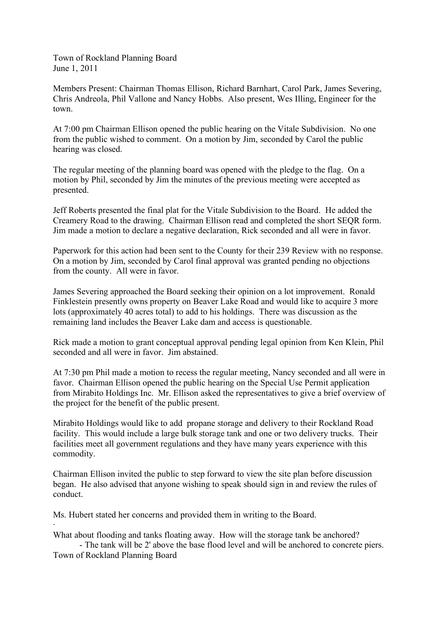Town of Rockland Planning Board June 1, 2011

Members Present: Chairman Thomas Ellison, Richard Barnhart, Carol Park, James Severing, Chris Andreola, Phil Vallone and Nancy Hobbs. Also present, Wes Illing, Engineer for the town.

At 7:00 pm Chairman Ellison opened the public hearing on the Vitale Subdivision. No one from the public wished to comment. On a motion by Jim, seconded by Carol the public hearing was closed.

The regular meeting of the planning board was opened with the pledge to the flag. On a motion by Phil, seconded by Jim the minutes of the previous meeting were accepted as presented.

Jeff Roberts presented the final plat for the Vitale Subdivision to the Board. He added the Creamery Road to the drawing. Chairman Ellison read and completed the short SEQR form. Jim made a motion to declare a negative declaration, Rick seconded and all were in favor.

Paperwork for this action had been sent to the County for their 239 Review with no response. On a motion by Jim, seconded by Carol final approval was granted pending no objections from the county. All were in favor.

James Severing approached the Board seeking their opinion on a lot improvement. Ronald Finklestein presently owns property on Beaver Lake Road and would like to acquire 3 more lots (approximately 40 acres total) to add to his holdings. There was discussion as the remaining land includes the Beaver Lake dam and access is questionable.

Rick made a motion to grant conceptual approval pending legal opinion from Ken Klein, Phil seconded and all were in favor. Jim abstained.

At 7:30 pm Phil made a motion to recess the regular meeting, Nancy seconded and all were in favor. Chairman Ellison opened the public hearing on the Special Use Permit application from Mirabito Holdings Inc. Mr. Ellison asked the representatives to give a brief overview of the project for the benefit of the public present.

Mirabito Holdings would like to add propane storage and delivery to their Rockland Road facility. This would include a large bulk storage tank and one or two delivery trucks. Their facilities meet all government regulations and they have many years experience with this commodity.

Chairman Ellison invited the public to step forward to view the site plan before discussion began. He also advised that anyone wishing to speak should sign in and review the rules of conduct.

Ms. Hubert stated her concerns and provided them in writing to the Board.

·

What about flooding and tanks floating away. How will the storage tank be anchored?

- The tank will be 2' above the base flood level and will be anchored to concrete piers. Town of Rockland Planning Board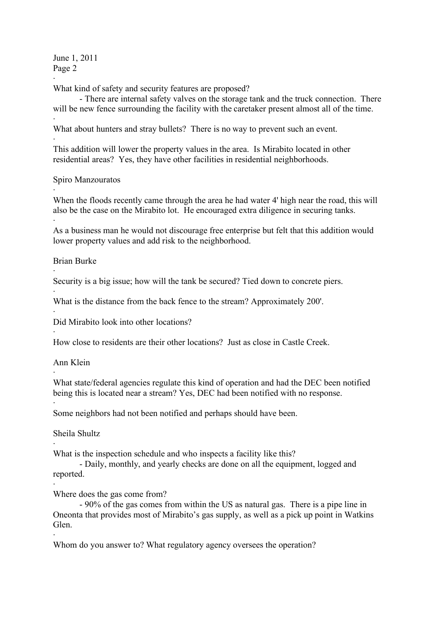June 1, 2011 Page 2

· What kind of safety and security features are proposed?

- There are internal safety valves on the storage tank and the truck connection. There will be new fence surrounding the facility with the caretaker present almost all of the time.

· What about hunters and stray bullets? There is no way to prevent such an event.

· This addition will lower the property values in the area. Is Mirabito located in other residential areas? Yes, they have other facilities in residential neighborhoods.

Spiro Manzouratos

· When the floods recently came through the area he had water 4' high near the road, this will also be the case on the Mirabito lot. He encouraged extra diligence in securing tanks.

· As a business man he would not discourage free enterprise but felt that this addition would lower property values and add risk to the neighborhood.

Brian Burke

·

·

·

·

·

·

·

Security is a big issue; how will the tank be secured? Tied down to concrete piers.

What is the distance from the back fence to the stream? Approximately 200'.

Did Mirabito look into other locations?

How close to residents are their other locations? Just as close in Castle Creek.

Ann Klein

What state/federal agencies regulate this kind of operation and had the DEC been notified being this is located near a stream? Yes, DEC had been notified with no response.

Some neighbors had not been notified and perhaps should have been.

Sheila Shultz

· What is the inspection schedule and who inspects a facility like this?

- Daily, monthly, and yearly checks are done on all the equipment, logged and reported.

· Where does the gas come from?

- 90% of the gas comes from within the US as natural gas. There is a pipe line in Oneonta that provides most of Mirabito's gas supply, as well as a pick up point in Watkins Glen.

Whom do you answer to? What regulatory agency oversees the operation?